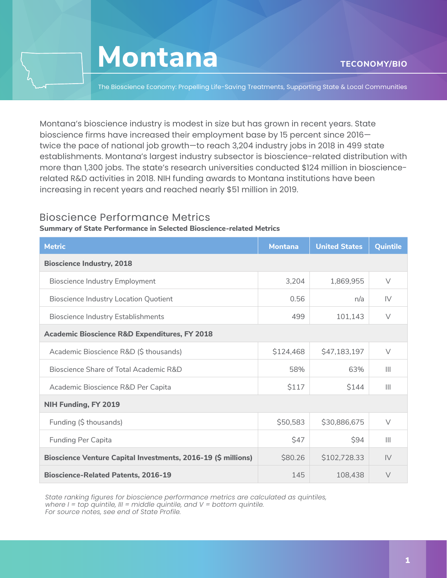

The Bioscience Economy: Propelling Life-Saving Treatments, Supporting State & Local Communities

Montana's bioscience industry is modest in size but has grown in recent years. State bioscience firms have increased their employment base by 15 percent since 2016 twice the pace of national job growth—to reach 3,204 industry jobs in 2018 in 499 state establishments. Montana's largest industry subsector is bioscience-related distribution with more than 1,300 jobs. The state's research universities conducted \$124 million in biosciencerelated R&D activities in 2018. NIH funding awards to Montana institutions have been increasing in recent years and reached nearly \$51 million in 2019.

### Bioscience Performance Metrics

### **Summary of State Performance in Selected Bioscience-related Metrics**

| <b>Metric</b>                                                 | <b>Montana</b> | <b>United States</b> | Quintile       |  |  |
|---------------------------------------------------------------|----------------|----------------------|----------------|--|--|
| <b>Bioscience Industry, 2018</b>                              |                |                      |                |  |  |
| Bioscience Industry Employment                                | 3,204          | 1,869,955            | $\vee$         |  |  |
| <b>Bioscience Industry Location Quotient</b>                  | 0.56           | n/a                  | IV             |  |  |
| <b>Bioscience Industry Establishments</b>                     | 499            | 101,143              | $\vee$         |  |  |
| <b>Academic Bioscience R&amp;D Expenditures, FY 2018</b>      |                |                      |                |  |  |
| Academic Bioscience R&D (\$ thousands)                        | \$124,468      | \$47,183,197         | $\vee$         |  |  |
| Bioscience Share of Total Academic R&D                        | 58%            | 63%                  | $\mathbf{III}$ |  |  |
| Academic Bioscience R&D Per Capita                            | \$117          | \$144                | $\mathbf{III}$ |  |  |
| NIH Funding, FY 2019                                          |                |                      |                |  |  |
| Funding (\$ thousands)                                        | \$50,583       | \$30,886,675         | $\vee$         |  |  |
| <b>Funding Per Capita</b>                                     | \$47           | \$94                 | $\mathbf{III}$ |  |  |
| Bioscience Venture Capital Investments, 2016-19 (\$ millions) | \$80.26        | \$102,728.33         | IV             |  |  |
| <b>Bioscience-Related Patents, 2016-19</b>                    | 145            | 108,438              | $\vee$         |  |  |

*State ranking figures for bioscience performance metrics are calculated as quintiles, where I = top quintile, III = middle quintile, and V = bottom quintile. For source notes, see end of State Profile.*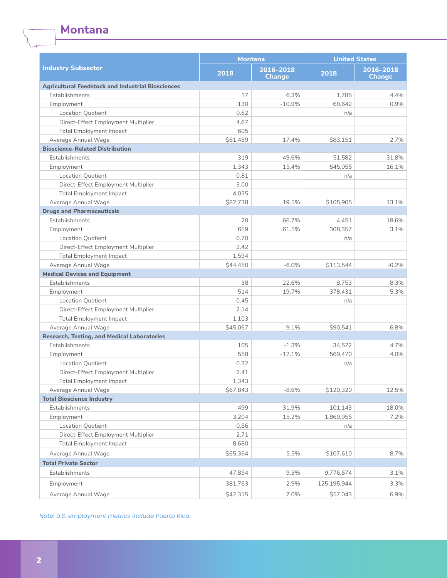**Montana**

|                                                          | <b>Montana</b> |                            | <b>United States</b> |                            |
|----------------------------------------------------------|----------------|----------------------------|----------------------|----------------------------|
| <b>Industry Subsector</b>                                | 2018           | 2016-2018<br><b>Change</b> | 2018                 | 2016-2018<br><b>Change</b> |
| <b>Agricultural Feedstock and Industrial Biosciences</b> |                |                            |                      |                            |
| Establishments                                           | 17             | 6.3%                       | 1,785                | 4.4%                       |
| Employment                                               | 130            | $-10.9%$                   | 68,642               | 0.9%                       |
| <b>Location Quotient</b>                                 | 0.62           |                            | n/a                  |                            |
| Direct-Effect Employment Multiplier                      | 4.67           |                            |                      |                            |
| <b>Total Employment Impact</b>                           | 605            |                            |                      |                            |
| Average Annual Wage                                      | \$61,489       | 17.4%                      | S83.151              | 2.7%                       |
| <b>Bioscience-Related Distribution</b>                   |                |                            |                      |                            |
| Establishments                                           | 319            | 49.6%                      | 51.582               | 31.8%                      |
| Employment                                               | 1,343          | 15.4%                      | 545,055              | 16.1%                      |
| <b>Location Quotient</b>                                 | 0.81           |                            | n/a                  |                            |
| Direct-Effect Employment Multiplier                      | 3.00           |                            |                      |                            |
| <b>Total Employment Impact</b>                           | 4,035          |                            |                      |                            |
| Average Annual Wage                                      | \$82,738       | 19.5%                      | \$105,905            | 13.1%                      |
| <b>Drugs and Pharmaceuticals</b>                         |                |                            |                      |                            |
| Establishments                                           | 20             | 66.7%                      | 4,451                | 18.6%                      |
| Employment                                               | 659            | 61.5%                      | 308,357              | 3.1%                       |
| <b>Location Quotient</b>                                 | 0.70           |                            | n/a                  |                            |
| Direct-Effect Employment Multiplier                      | 2.42           |                            |                      |                            |
| <b>Total Employment Impact</b>                           | 1,594          |                            |                      |                            |
| Average Annual Wage                                      | \$44,450       | $-6.0%$                    | \$113,544            | $-0.2%$                    |
| <b>Medical Devices and Equipment</b>                     |                |                            |                      |                            |
| Establishments                                           | 38             | 22.6%                      | 8,753                | 8.3%                       |
| Employment                                               | 514            | 19.7%                      | 378,431              | 5.3%                       |
| <b>Location Quotient</b>                                 | 0.45           |                            | n/a                  |                            |
| Direct-Effect Employment Multiplier                      | 2.14           |                            |                      |                            |
| <b>Total Employment Impact</b>                           | 1,103          |                            |                      |                            |
| Average Annual Wage                                      | \$45,067       | 9.1%                       | \$90,541             | 6.8%                       |
| <b>Research, Testing, and Medical Laboratories</b>       |                |                            |                      |                            |
| Establishments                                           | 105            | $-1.3%$                    | 34,572               | 4.7%                       |
| Employment                                               | 558            | $-12.1%$                   | 569,470              | 4.0%                       |
| <b>Location Quotient</b>                                 | 0.32           |                            | n/a                  |                            |
| Direct-Effect Employment Multiplier                      | 2.41           |                            |                      |                            |
| <b>Total Employment Impact</b>                           | 1,343          |                            |                      |                            |
| Average Annual Wage                                      | \$67,843       | $-8.6%$                    | \$120,320            | 12.5%                      |
| <b>Total Bioscience Industry</b>                         |                |                            |                      |                            |
| Establishments                                           | 499            | 31.9%                      | 101,143              | 18.0%                      |
| Employment                                               | 3,204          | 15.2%                      | 1,869,955            | 7.2%                       |
| Location Quotient                                        | 0.56           |                            | n/a                  |                            |
| Direct-Effect Employment Multiplier                      | 2.71           |                            |                      |                            |
| <b>Total Employment Impact</b>                           | 8,680          |                            |                      |                            |
| Average Annual Wage                                      | \$65,364       | 5.5%                       | \$107,610            | 8.7%                       |
| <b>Total Private Sector</b>                              |                |                            |                      |                            |
| Establishments                                           | 47,894         | 9.3%                       | 9,776,674            | 3.1%                       |
|                                                          |                |                            |                      |                            |
| Employment                                               | 381,763        | 2.9%                       | 125,195,944          | 3.3%                       |
| Average Annual Wage                                      | \$42,315       | 7.0%                       | \$57,043             | 6.9%                       |

*Note: U.S. employment metrics include Puerto Rico.*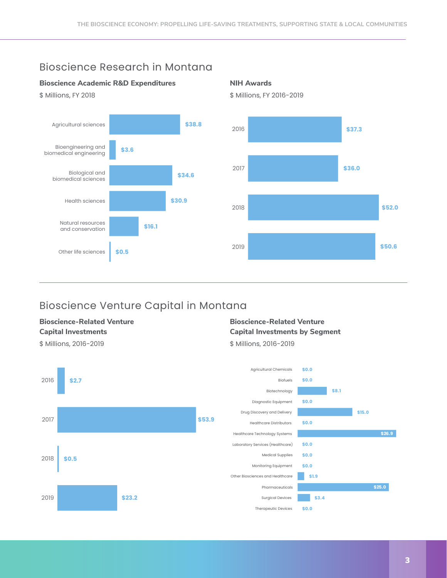# Bioscience Research in Montana

### **Bioscience Academic R&D Expenditures**



**NIH Awards**  \$ Millions, FY 2016-2019



# Bioscience Venture Capital in Montana

## **Bioscience-Related Venture Capital Investments**

#### \$ Millions, 2016-2019

### **Bioscience-Related Venture Capital Investments by Segment**  \$ Millions, 2016-2019





3